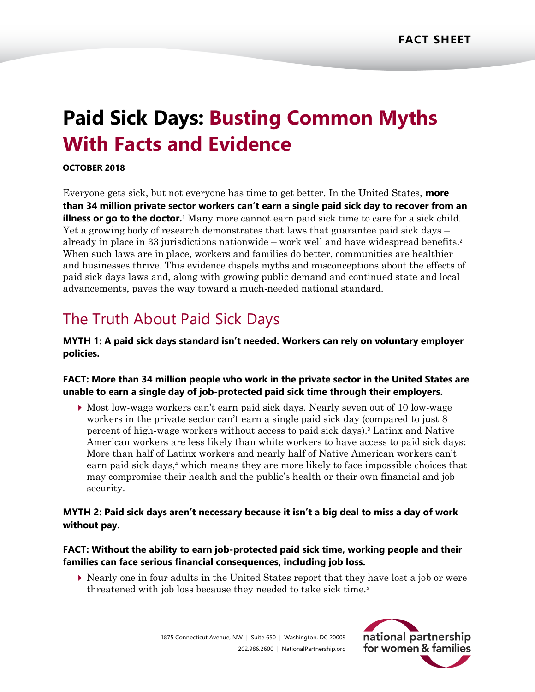# **Paid Sick Days: Busting Common Myths With Facts and Evidence**

#### **OCTOBER 2018**

Everyone gets sick, but not everyone has time to get better. In the United States, **more than 34 million private sector workers can't earn a single paid sick day to recover from an illness or go to the doctor.** Many more cannot earn paid sick time to care for a sick child. Yet a growing body of research demonstrates that laws that guarantee paid sick days – already in place in 33 jurisdictions nationwide – work well and have widespread benefits. 2 When such laws are in place, workers and families do better, communities are healthier and businesses thrive. This evidence dispels myths and misconceptions about the effects of paid sick days laws and, along with growing public demand and continued state and local advancements, paves the way toward a much-needed national standard.

# The Truth About Paid Sick Days

**MYTH 1: A paid sick days standard isn't needed. Workers can rely on voluntary employer policies.**

#### **FACT: More than 34 million people who work in the private sector in the United States are unable to earn a single day of job-protected paid sick time through their employers.**

 Most low-wage workers can't earn paid sick days. Nearly seven out of 10 low-wage workers in the private sector can't earn a single paid sick day (compared to just 8 percent of high-wage workers without access to paid sick days).<sup>3</sup> Latinx and Native American workers are less likely than white workers to have access to paid sick days: More than half of Latinx workers and nearly half of Native American workers can't earn paid sick days,<sup>4</sup> which means they are more likely to face impossible choices that may compromise their health and the public's health or their own financial and job security.

#### **MYTH 2: Paid sick days aren't necessary because it isn't a big deal to miss a day of work without pay.**

#### **FACT: Without the ability to earn job-protected paid sick time, working people and their families can face serious financial consequences, including job loss.**

 Nearly one in four adults in the United States report that they have lost a job or were threatened with job loss because they needed to take sick time.5

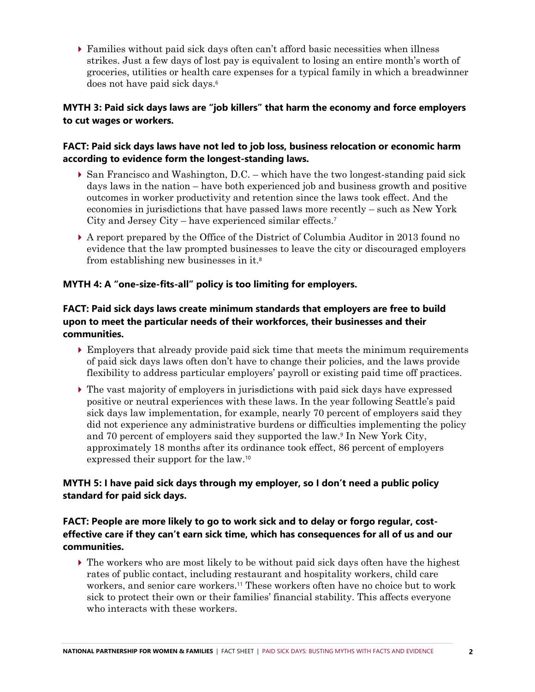Families without paid sick days often can't afford basic necessities when illness strikes. Just a few days of lost pay is equivalent to losing an entire month's worth of groceries, utilities or health care expenses for a typical family in which a breadwinner does not have paid sick days.<sup>6</sup>

#### **MYTH 3: Paid sick days laws are "job killers" that harm the economy and force employers to cut wages or workers.**

## **FACT: Paid sick days laws have not led to job loss, business relocation or economic harm according to evidence form the longest-standing laws.**

- $\triangleright$  San Francisco and Washington, D.C. which have the two longest-standing paid sick days laws in the nation – have both experienced job and business growth and positive outcomes in worker productivity and retention since the laws took effect. And the economies in jurisdictions that have passed laws more recently – such as New York City and Jersey City – have experienced similar effects.<sup>7</sup>
- A report prepared by the Office of the District of Columbia Auditor in 2013 found no evidence that the law prompted businesses to leave the city or discouraged employers from establishing new businesses in it.<sup>8</sup>

## **MYTH 4: A "one-size-fits-all" policy is too limiting for employers.**

## **FACT: Paid sick days laws create minimum standards that employers are free to build upon to meet the particular needs of their workforces, their businesses and their communities.**

- $\triangleright$  Employers that already provide paid sick time that meets the minimum requirements of paid sick days laws often don't have to change their policies, and the laws provide flexibility to address particular employers' payroll or existing paid time off practices.
- $\triangleright$  The vast majority of employers in jurisdictions with paid sick days have expressed positive or neutral experiences with these laws. In the year following Seattle's paid sick days law implementation, for example, nearly 70 percent of employers said they did not experience any administrative burdens or difficulties implementing the policy and 70 percent of employers said they supported the law.<sup>9</sup> In New York City, approximately 18 months after its ordinance took effect, 86 percent of employers expressed their support for the law.<sup>10</sup>

## **MYTH 5: I have paid sick days through my employer, so I don't need a public policy standard for paid sick days.**

#### **FACT: People are more likely to go to work sick and to delay or forgo regular, costeffective care if they can't earn sick time, which has consequences for all of us and our communities.**

 $\blacktriangleright$  The workers who are most likely to be without paid sick days often have the highest rates of public contact, including restaurant and hospitality workers, child care workers, and senior care workers.<sup>11</sup> These workers often have no choice but to work sick to protect their own or their families' financial stability. This affects everyone who interacts with these workers.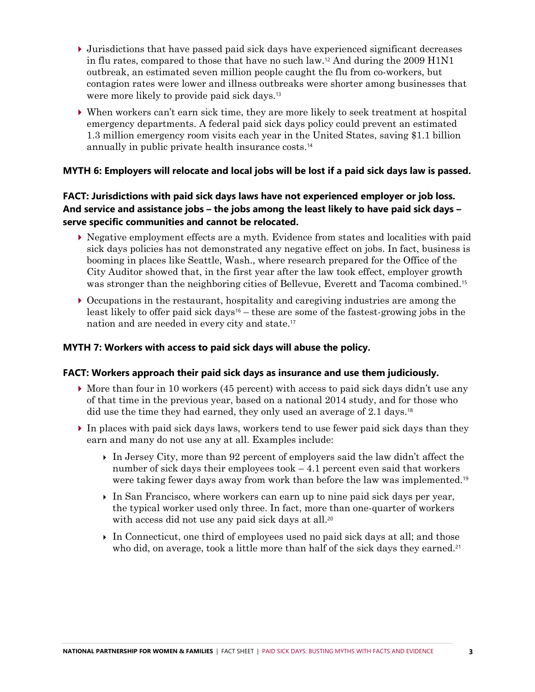- $\blacktriangleright$  Jurisdictions that have passed paid sick days have experienced significant decreases in flu rates, compared to those that have no such law.<sup>12</sup> And during the 2009 H1N1 outbreak, an estimated seven million people caught the flu from co-workers, but contagion rates were lower and illness outbreaks were shorter among businesses that were more likely to provide paid sick days.<sup>13</sup>
- When workers can't earn sick time, they are more likely to seek treatment at hospital emergency departments. A federal paid sick days policy could prevent an estimated 1.3 million emergency room visits each year in the United States, saving \$1.1 billion annually in public private health insurance costs. 14

#### **MYTH 6: Employers will relocate and local jobs will be lost if a paid sick days law is passed.**

#### **FACT: Jurisdictions with paid sick days laws have not experienced employer or job loss. And service and assistance jobs – the jobs among the least likely to have paid sick days – serve specific communities and cannot be relocated.**

- Negative employment effects are a myth. Evidence from states and localities with paid sick days policies has not demonstrated any negative effect on jobs. In fact, business is booming in places like Seattle, Wash., where research prepared for the Office of the City Auditor showed that, in the first year after the law took effect, employer growth was stronger than the neighboring cities of Bellevue, Everett and Tacoma combined.<sup>15</sup>
- Occupations in the restaurant, hospitality and caregiving industries are among the least likely to offer paid sick days<sup>16</sup> – these are some of the fastest-growing jobs in the nation and are needed in every city and state.<sup>17</sup>

#### **MYTH 7: Workers with access to paid sick days will abuse the policy.**

#### **FACT: Workers approach their paid sick days as insurance and use them judiciously.**

- $\blacktriangleright$  More than four in 10 workers (45 percent) with access to paid sick days didn't use any of that time in the previous year, based on a national 2014 study, and for those who did use the time they had earned, they only used an average of 2.1 days.<sup>18</sup>
- $\triangleright$  In places with paid sick days laws, workers tend to use fewer paid sick days than they earn and many do not use any at all. Examples include:
	- In Jersey City, more than 92 percent of employers said the law didn't affect the number of sick days their employees took  $-4.1$  percent even said that workers were taking fewer days away from work than before the law was implemented.<sup>19</sup>
	- $\triangleright$  In San Francisco, where workers can earn up to nine paid sick days per year, the typical worker used only three. In fact, more than one-quarter of workers with access did not use any paid sick days at all.<sup>20</sup>
	- In Connecticut, one third of employees used no paid sick days at all; and those who did, on average, took a little more than half of the sick days they earned.<sup>21</sup>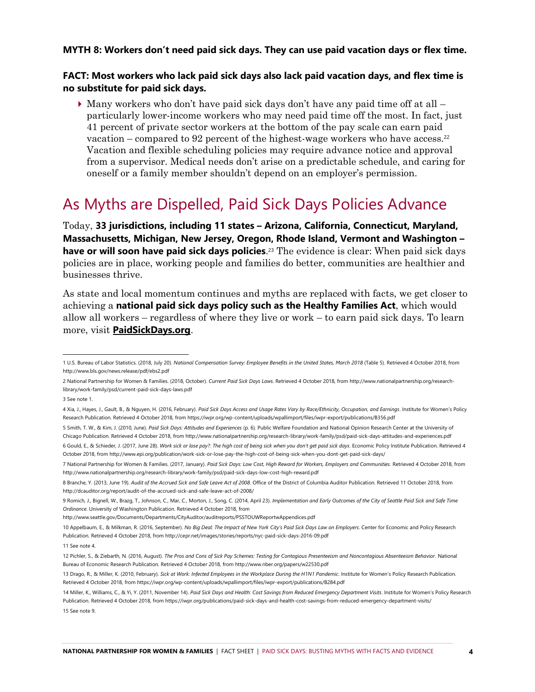#### **MYTH 8: Workers don't need paid sick days. They can use paid vacation days or flex time.**

#### **FACT: Most workers who lack paid sick days also lack paid vacation days, and flex time is no substitute for paid sick days.**

 $\blacktriangleright$  Many workers who don't have paid sick days don't have any paid time off at all  $$ particularly lower-income workers who may need paid time off the most. In fact, just 41 percent of private sector workers at the bottom of the pay scale can earn paid vacation – compared to 92 percent of the highest-wage workers who have access.<sup>22</sup> Vacation and flexible scheduling policies may require advance notice and approval from a supervisor. Medical needs don't arise on a predictable schedule, and caring for oneself or a family member shouldn't depend on an employer's permission.

# As Myths are Dispelled, Paid Sick Days Policies Advance

Today, **33 jurisdictions, including 11 states – Arizona, California, Connecticut, Maryland, Massachusetts, Michigan, New Jersey, Oregon, Rhode Island, Vermont and Washington – have or will soon have paid sick days policies**. <sup>23</sup> The evidence is clear: When paid sick days policies are in place, working people and families do better, communities are healthier and businesses thrive.

As state and local momentum continues and myths are replaced with facts, we get closer to achieving a **national paid sick days policy such as the Healthy Families Act**, which would allow all workers – regardless of where they live or work – to earn paid sick days. To learn more, visit **[PaidSickDays.org](http://www.paidsickdays.org/)**.

3 See note 1.

5 Smith, T. W., & Kim, J. (2010, June). *Paid Sick Days: Attitudes and Experiences* (p. 6). Public Welfare Foundation and National Opinion Research Center at the University of Chicago Publication. Retrieved 4 October 2018, from http://www.nationalpartnership.org/research-library/work-family/psd/paid-sick-days-attitudes-and-experiences.pdf

<sup>1</sup> U.S. Bureau of Labor Statistics. (2018, July 20). *National Compensation Survey: Employee Benefits in the United States, March 2018* (Table 5). Retrieved 4 October 2018, from http://www.bls.gov/news.release/pdf/ebs2.pdf

<sup>2</sup> National Partnership for Women & Families. (2018, October). *Current Paid Sick Days Laws.* Retrieved 4 October 2018, from http://www.nationalpartnership.org/researchlibrary/work-family/psd/current-paid-sick-days-laws.pdf

<sup>4</sup> Xia, J., Hayes, J., Gault, B., & Nguyen, H. (2016, February). *Paid Sick Days Access and Usage Rates Vary by Race/Ethnicity, Occupation, and Earnings*. Institute for Women's Policy Research Publication. Retrieved 4 October 2018, from https://iwpr.org/wp-content/uploads/wpallimport/files/iwpr-export/publications/B356.pdf

<sup>6</sup> Gould, E., & Schieder, J. (2017, June 28). *Work sick or lose pay?: The high cost of being sick when you don't get paid sick days*. Economic Policy Institute Publication. Retrieved 4 October 2018, from http://www.epi.org/publication/work-sick-or-lose-pay-the-high-cost-of-being-sick-when-you-dont-get-paid-sick-days/

<sup>7</sup> National Partnership for Women & Families. (2017, January). *Paid Sick Days: Low Cost, High Reward for Workers, Employers and Communities*. Retrieved 4 October 2018, from http://www.nationalpartnership.org/research-library/work-family/psd/paid-sick-days-low-cost-high-reward.pdf

<sup>8</sup> Branche, Y. (2013, June 19). *Audit of the Accrued Sick and Safe Leave Act of 2008*. Office of the District of Columbia Auditor Publication. Retrieved 11 October 2018, from http://dcauditor.org/report/audit-of-the-accrued-sick-and-safe-leave-act-of-2008/

<sup>9</sup> Romich, J., Bignell, W., Brazg, T., Johnson, C., Mar, C., Morton, J., Song, C. (2014, April 23). *Implementation and Early Outcomes of the City of Seattle Paid Sick and Safe Time Ordinance*. University of Washington Publication. Retrieved 4 October 2018, from

http://www.seattle.gov/Documents/Departments/CityAuditor/auditreports/PSSTOUWReportwAppendices.pdf

<sup>10</sup> Appelbaum, E., & Milkman, R. (2016, September). *No Big Deal: The Impact of New York City's Paid Sick Days Law on Employers*. Center for Economic and Policy Research Publication. Retrieved 4 October 2018, from http://cepr.net/images/stories/reports/nyc-paid-sick-days-2016-09.pdf

<sup>11</sup> See note 4.

<sup>12</sup> Pichler, S., & Ziebarth, N. (2016, August). *The Pros and Cons of Sick Pay Schemes: Testing for Contagious Presenteeism and Noncontagious Absenteeism Behavior*. National Bureau of Economic Research Publication. Retrieved 4 October 2018, from http://www.nber.org/papers/w22530.pdf

<sup>13</sup> Drago, R., & Miller, K. (2010, February). *Sick at Work: Infected Employees in the Workplace During the H1N1 Pandemic*. Institute for Women's Policy Research Publication. Retrieved 4 October 2018, from https://iwpr.org/wp-content/uploads/wpallimport/files/iwpr-export/publications/B284.pdf

<sup>14</sup> Miller, K., Williams, C., & Yi, Y. (2011, November 14). *Paid Sick Days and Health: Cost Savings from Reduced Emergency Department Visits*. Institute for Women's Policy Research Publication. Retrieved 4 October 2018, from https://iwpr.org/publications/paid-sick-days-and-health-cost-savings-from-reduced-emergency-department-visits/ 15 See note 9.